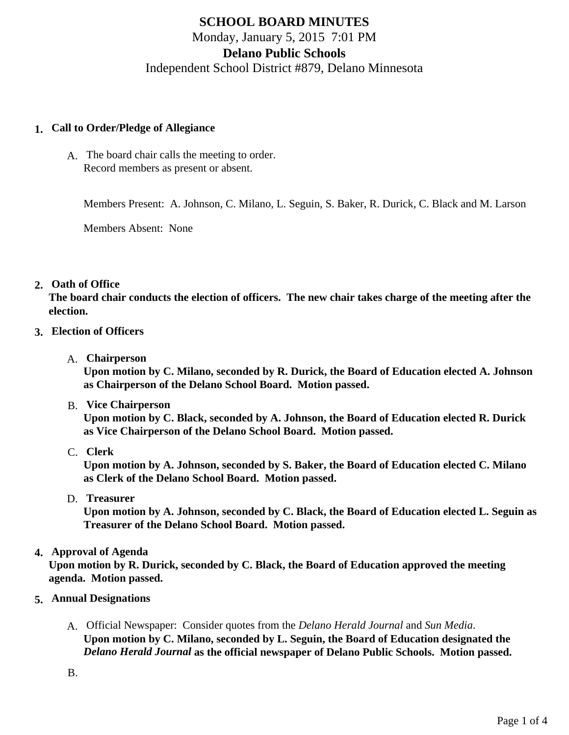# **SCHOOL BOARD MINUTES** Monday, January 5, 2015 7:01 PM **Delano Public Schools** Independent School District #879, Delano Minnesota

### **1. Call to Order/Pledge of Allegiance**

A. The board chair calls the meeting to order. Record members as present or absent.

Members Present: A. Johnson, C. Milano, L. Seguin, S. Baker, R. Durick, C. Black and M. Larson

Members Absent: None

# **2. Oath of Office**

**The board chair conducts the election of officers. The new chair takes charge of the meeting after the election.**

# **3. Election of Officers**

A. **Chairperson**

**Upon motion by C. Milano, seconded by R. Durick, the Board of Education elected A. Johnson as Chairperson of the Delano School Board. Motion passed.**

B. **Vice Chairperson**

**Upon motion by C. Black, seconded by A. Johnson, the Board of Education elected R. Durick as Vice Chairperson of the Delano School Board. Motion passed.**

C. **Clerk**

**Upon motion by A. Johnson, seconded by S. Baker, the Board of Education elected C. Milano as Clerk of the Delano School Board. Motion passed.**

D. **Treasurer**

**Upon motion by A. Johnson, seconded by C. Black, the Board of Education elected L. Seguin as Treasurer of the Delano School Board. Motion passed.**

# **4. Approval of Agenda**

**Upon motion by R. Durick, seconded by C. Black, the Board of Education approved the meeting agenda. Motion passed.**

- **5. Annual Designations**
	- A. Official Newspaper: Consider quotes from the *Delano Herald Journal* and *Sun Media*. **Upon motion by C. Milano, seconded by L. Seguin, the Board of Education designated the** *Delano Herald Journal* **as the official newspaper of Delano Public Schools. Motion passed.**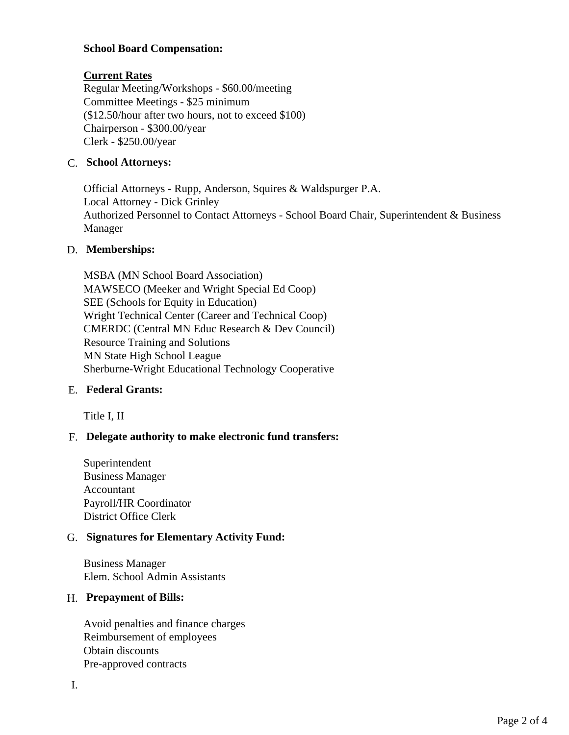# **School Board Compensation:**

# **Current Rates**

Regular Meeting/Workshops - \$60.00/meeting Committee Meetings - \$25 minimum (\$12.50/hour after two hours, not to exceed \$100) Chairperson - \$300.00/year Clerk - \$250.00/year

### C. **School Attorneys:**

Official Attorneys - Rupp, Anderson, Squires & Waldspurger P.A. Local Attorney - Dick Grinley Authorized Personnel to Contact Attorneys - School Board Chair, Superintendent & Business Manager

# D. **Memberships:**

MSBA (MN School Board Association) MAWSECO (Meeker and Wright Special Ed Coop) SEE (Schools for Equity in Education) Wright Technical Center (Career and Technical Coop) CMERDC (Central MN Educ Research & Dev Council) Resource Training and Solutions MN State High School League Sherburne-Wright Educational Technology Cooperative

### E. **Federal Grants:**

Title I, II

# F. **Delegate authority to make electronic fund transfers:**

Superintendent Business Manager Accountant Payroll/HR Coordinator District Office Clerk

### G. **Signatures for Elementary Activity Fund:**

Business Manager Elem. School Admin Assistants

### H. **Prepayment of Bills:**

Avoid penalties and finance charges Reimbursement of employees Obtain discounts Pre-approved contracts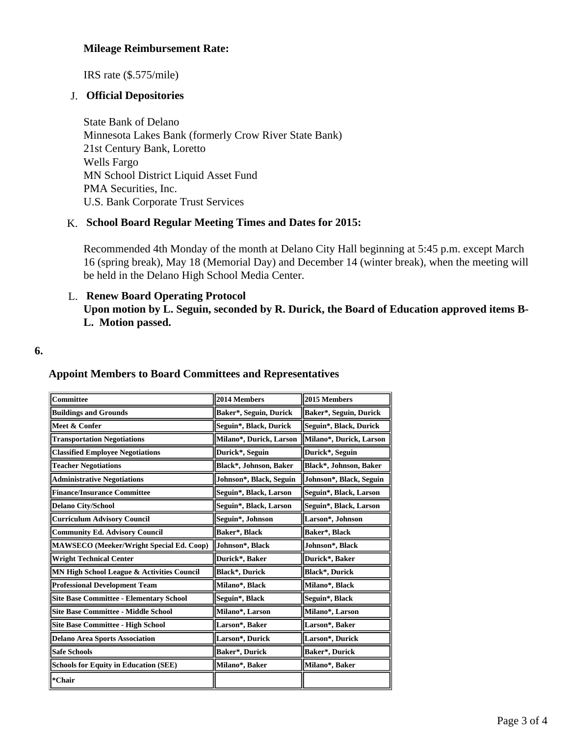# **Mileage Reimbursement Rate:**

IRS rate (\$.575/mile)

# J. **Official Depositories**

State Bank of Delano Minnesota Lakes Bank (formerly Crow River State Bank) 21st Century Bank, Loretto Wells Fargo MN School District Liquid Asset Fund PMA Securities, Inc. U.S. Bank Corporate Trust Services

### K. **School Board Regular Meeting Times and Dates for 2015:**

Recommended 4th Monday of the month at Delano City Hall beginning at 5:45 p.m. except March 16 (spring break), May 18 (Memorial Day) and December 14 (winter break), when the meeting will be held in the Delano High School Media Center.

# L. **Renew Board Operating Protocol Upon motion by L. Seguin, seconded by R. Durick, the Board of Education approved items B-L. Motion passed.**

#### **6.**

### **Appoint Members to Board Committees and Representatives**

| Committee                                       | 2014 Members            | 2015 Members            |
|-------------------------------------------------|-------------------------|-------------------------|
| <b>Buildings and Grounds</b>                    | Baker*, Seguin, Durick  | Baker*, Seguin, Durick  |
| Meet & Confer                                   | Seguin*, Black, Durick  | Seguin*, Black, Durick  |
| <b>Transportation Negotiations</b>              | Milano*, Durick, Larson | Milano*, Durick, Larson |
| <b>Classified Employee Negotiations</b>         | Durick*, Seguin         | Durick*, Seguin         |
| <b>Teacher Negotiations</b>                     | Black*, Johnson, Baker  | Black*, Johnson, Baker  |
| <b>Administrative Negotiations</b>              | Johnson*, Black, Seguin | Johnson*, Black, Seguin |
| <b>Finance/Insurance Committee</b>              | Seguin*, Black, Larson  | Seguin*, Black, Larson  |
| <b>Delano City/School</b>                       | Seguin*, Black, Larson  | Seguin*, Black, Larson  |
| <b>Curriculum Advisory Council</b>              | Seguin*, Johnson        | Larson*, Johnson        |
| <b>Community Ed. Advisory Council</b>           | Baker*, Black           | Baker*, Black           |
| <b>MAWSECO</b> (Meeker/Wright Special Ed. Coop) | Johnson*, Black         | Johnson*, Black         |
| <b>Wright Technical Center</b>                  | Durick*, Baker          | Durick*, Baker          |
| MN High School League & Activities Council      | <b>Black*, Durick</b>   | <b>Black*, Durick</b>   |
| <b>Professional Development Team</b>            | Milano*, Black          | Milano*, Black          |
| <b>Site Base Committee - Elementary School</b>  | Seguin*, Black          | Seguin*, Black          |
| <b>Site Base Committee - Middle School</b>      | Milano*, Larson         | Milano*, Larson         |
| <b>Site Base Committee - High School</b>        | Larson*, Baker          | Larson*, Baker          |
| <b>Delano Area Sports Association</b>           | Larson*, Durick         | Larson*, Durick         |
| <b>Safe Schools</b>                             | Baker*, Durick          | Baker*, Durick          |
| <b>Schools for Equity in Education (SEE)</b>    | Milano*, Baker          | Milano*, Baker          |
| *Chair                                          |                         |                         |